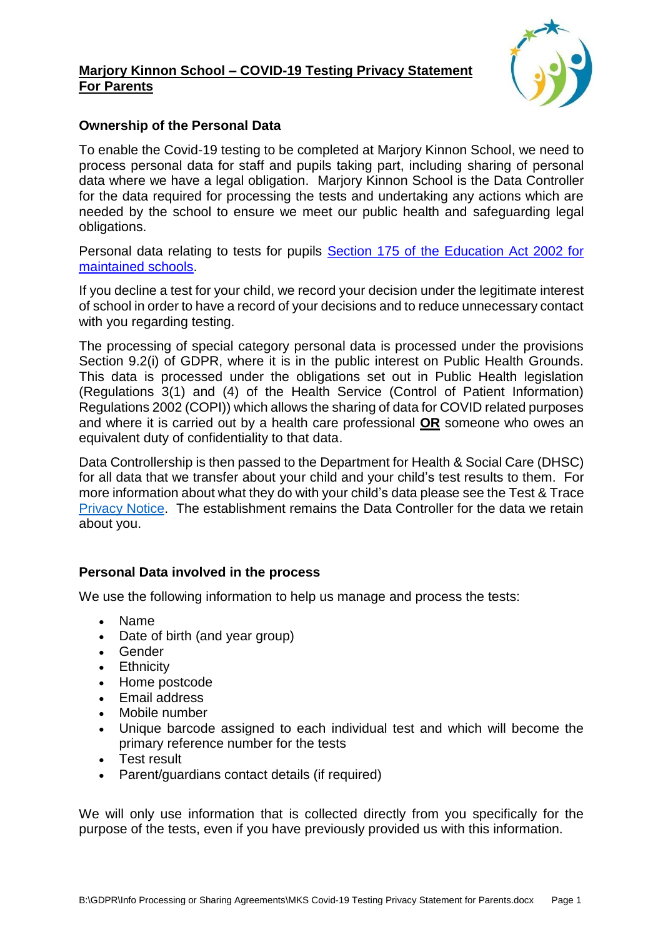## **Marjory Kinnon School – COVID-19 Testing Privacy Statement For Parents**



# **Ownership of the Personal Data**

To enable the Covid-19 testing to be completed at Marjory Kinnon School, we need to process personal data for staff and pupils taking part, including sharing of personal data where we have a legal obligation. Marjory Kinnon School is the Data Controller for the data required for processing the tests and undertaking any actions which are needed by the school to ensure we meet our public health and safeguarding legal obligations.

Personal data relating to tests for pupils [Section 175 of the Education Act 2002 for](https://www.legislation.gov.uk/ukpga/2002/32/section/175)  [maintained schools.](https://www.legislation.gov.uk/ukpga/2002/32/section/175)

If you decline a test for your child, we record your decision under the legitimate interest of school in order to have a record of your decisions and to reduce unnecessary contact with you regarding testing.

The processing of special category personal data is processed under the provisions Section 9.2(i) of GDPR, where it is in the public interest on Public Health Grounds. This data is processed under the obligations set out in Public Health legislation (Regulations 3(1) and (4) of the Health Service (Control of Patient Information) Regulations 2002 (COPI)) which allows the sharing of data for COVID related purposes and where it is carried out by a health care professional **OR** someone who owes an equivalent duty of confidentiality to that data.

Data Controllership is then passed to the Department for Health & Social Care (DHSC) for all data that we transfer about your child and your child's test results to them. For more information about what they do with your child's data please see the Test & Trace [Privacy Notice.](https://contact-tracing.phe.gov.uk/help/privacy-notice) The establishment remains the Data Controller for the data we retain about you.

# **Personal Data involved in the process**

We use the following information to help us manage and process the tests:

- Name
- Date of birth (and year group)
- Gender
- Ethnicity
- Home postcode
- Email address
- Mobile number
- Unique barcode assigned to each individual test and which will become the primary reference number for the tests
- Test result
- Parent/guardians contact details (if required)

We will only use information that is collected directly from you specifically for the purpose of the tests, even if you have previously provided us with this information.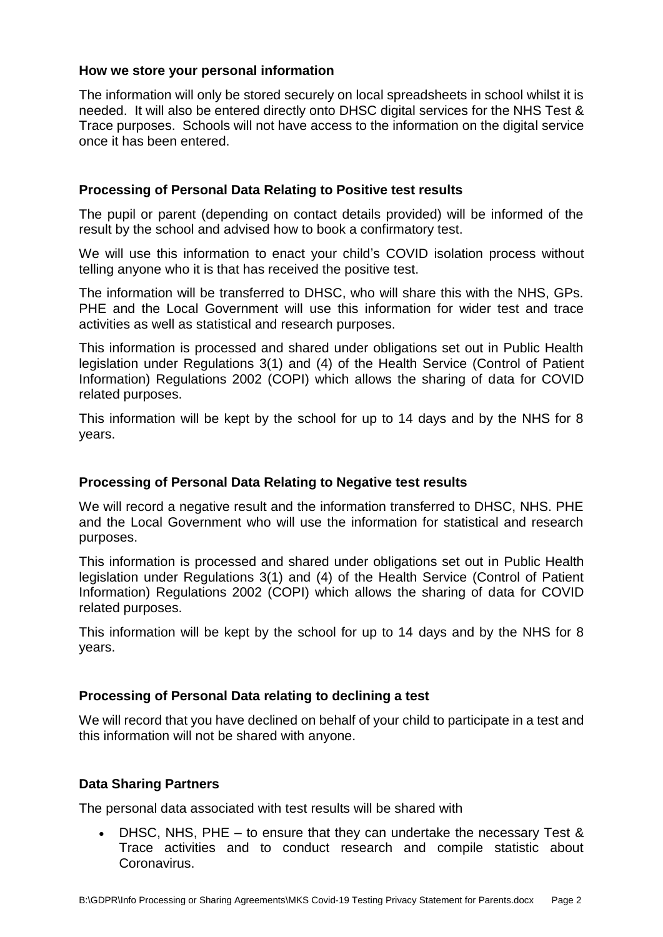### **How we store your personal information**

The information will only be stored securely on local spreadsheets in school whilst it is needed. It will also be entered directly onto DHSC digital services for the NHS Test & Trace purposes. Schools will not have access to the information on the digital service once it has been entered.

### **Processing of Personal Data Relating to Positive test results**

The pupil or parent (depending on contact details provided) will be informed of the result by the school and advised how to book a confirmatory test.

We will use this information to enact your child's COVID isolation process without telling anyone who it is that has received the positive test.

The information will be transferred to DHSC, who will share this with the NHS, GPs. PHE and the Local Government will use this information for wider test and trace activities as well as statistical and research purposes.

This information is processed and shared under obligations set out in Public Health legislation under Regulations 3(1) and (4) of the Health Service (Control of Patient Information) Regulations 2002 (COPI) which allows the sharing of data for COVID related purposes.

This information will be kept by the school for up to 14 days and by the NHS for 8 years.

#### **Processing of Personal Data Relating to Negative test results**

We will record a negative result and the information transferred to DHSC, NHS. PHE and the Local Government who will use the information for statistical and research purposes.

This information is processed and shared under obligations set out in Public Health legislation under Regulations 3(1) and (4) of the Health Service (Control of Patient Information) Regulations 2002 (COPI) which allows the sharing of data for COVID related purposes.

This information will be kept by the school for up to 14 days and by the NHS for 8 years.

## **Processing of Personal Data relating to declining a test**

We will record that you have declined on behalf of your child to participate in a test and this information will not be shared with anyone.

## **Data Sharing Partners**

The personal data associated with test results will be shared with

 DHSC, NHS, PHE – to ensure that they can undertake the necessary Test & Trace activities and to conduct research and compile statistic about Coronavirus.